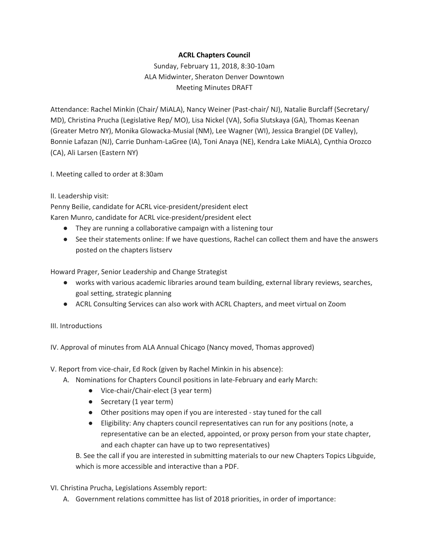## **ACRL Chapters Council**

Sunday, February 11, 2018, 8:30-10am ALA Midwinter, Sheraton Denver Downtown Meeting Minutes DRAFT

Attendance: Rachel Minkin (Chair/ MiALA), Nancy Weiner (Past-chair/ NJ), Natalie Burclaff (Secretary/ MD), Christina Prucha (Legislative Rep/ MO), Lisa Nickel (VA), Sofia Slutskaya (GA), Thomas Keenan (Greater Metro NY), Monika Glowacka-Musial (NM), Lee Wagner (WI), Jessica Brangiel (DE Valley), Bonnie Lafazan (NJ), Carrie Dunham-LaGree (IA), Toni Anaya (NE), Kendra Lake MiALA), Cynthia Orozco (CA), Ali Larsen (Eastern NY)

I. Meeting called to order at 8:30am

## II. Leadership visit:

Penny Beilie, candidate for ACRL vice-president/president elect

Karen Munro, candidate for ACRL vice-president/president elect

- They are running a collaborative campaign with a listening tour
- See their statements online: If we have questions, Rachel can collect them and have the answers posted on the chapters listserv

Howard Prager, Senior Leadership and Change Strategist

- works with various academic libraries around team building, external library reviews, searches, goal setting, strategic planning
- ACRL Consulting Services can also work with ACRL Chapters, and meet virtual on Zoom

## III. Introductions

IV. Approval of minutes from ALA Annual Chicago (Nancy moved, Thomas approved)

- V. Report from vice-chair, Ed Rock (given by Rachel Minkin in his absence):
	- A. Nominations for Chapters Council positions in late-February and early March:
		- Vice-chair/Chair-elect (3 year term)
		- Secretary (1 year term)
		- Other positions may open if you are interested stay tuned for the call
		- Eligibility: Any chapters council representatives can run for any positions (note, a representative can be an elected, appointed, or proxy person from your state chapter, and each chapter can have up to two representatives)

B. See the call if you are interested in submitting materials to our new Chapters Topics Libguide, which is more accessible and interactive than a PDF.

- VI. Christina Prucha, Legislations Assembly report:
	- A. Government relations committee has list of 2018 priorities, in order of importance: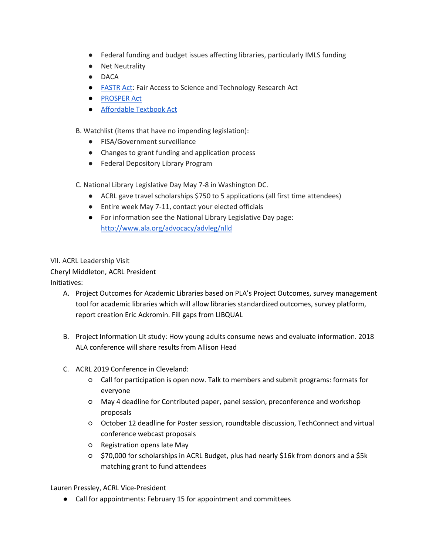- Federal funding and budget issues affecting libraries, particularly IMLS funding
- Net Neutrality
- DACA
- [FASTR Act:](https://www.congress.gov/bill/114th-congress/senate-bill/779) Fair Access to Science and Technology Research Act
- **[PROSPER Act](https://www.congress.gov/bill/115th-congress/house-bill/4508/text)**
- [Affordable Textbook Act](https://sparcopen.org/news/2017/affordable-college-textbook-act-reintroduced/)

B. Watchlist (items that have no impending legislation):

- FISA/Government surveillance
- Changes to grant funding and application process
- Federal Depository Library Program

C. National Library Legislative Day May 7-8 in Washington DC.

- ACRL gave travel scholarships \$750 to 5 applications (all first time attendees)
- Entire week May 7-11, contact your elected officials
- For information see the National Library Legislative Day page: <http://www.ala.org/advocacy/advleg/nlld>

VII. ACRL Leadership Visit

Cheryl Middleton, ACRL President

Initiatives:

- A. Project Outcomes for Academic Libraries based on PLA's Project Outcomes, survey management tool for academic libraries which will allow libraries standardized outcomes, survey platform, report creation Eric Ackromin. Fill gaps from LIBQUAL
- B. Project Information Lit study: How young adults consume news and evaluate information. 2018 ALA conference will share results from Allison Head
- C. ACRL 2019 Conference in Cleveland:
	- Call for participation is open now. Talk to members and submit programs: formats for everyone
	- May 4 deadline for Contributed paper, panel session, preconference and workshop proposals
	- October 12 deadline for Poster session, roundtable discussion, TechConnect and virtual conference webcast proposals
	- Registration opens late May
	- \$70,000 for scholarships in ACRL Budget, plus had nearly \$16k from donors and a \$5k matching grant to fund attendees

Lauren Pressley, ACRL Vice-President

● Call for appointments: February 15 for appointment and committees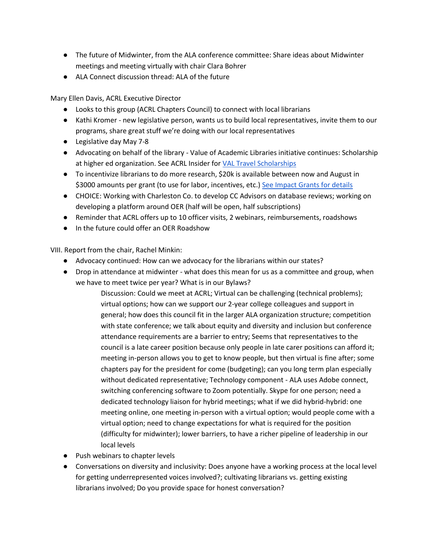- The future of Midwinter, from the ALA conference committee: Share ideas about Midwinter meetings and meeting virtually with chair Clara Bohrer
- ALA Connect discussion thread: ALA of the future

Mary Ellen Davis, ACRL Executive Director

- Looks to this group (ACRL Chapters Council) to connect with local librarians
- Kathi Kromer new legislative person, wants us to build local representatives, invite them to our programs, share great stuff we're doing with our local representatives
- Legislative day May 7-8
- Advocating on behalf of the library Value of Academic Libraries initiative continues: Scholarship at higher ed organization. See ACRL Insider fo[r VAL Travel Scholarships](http://www.ala.org/acrl/awards/researchawards/valtravel)
- To incentivize librarians to do more research, \$20k is available between now and August in \$3000 amounts per grant (to use for labor, incentives, etc.) [See Impact Grants for details](http://www.ala.org/acrl/awards/researchawards/impactgrants)
- CHOICE: Working with Charleston Co. to develop CC Advisors on database reviews; working on developing a platform around OER (half will be open, half subscriptions)
- Reminder that ACRL offers up to 10 officer visits, 2 webinars, reimbursements, roadshows
- In the future could offer an OER Roadshow

VIII. Report from the chair, Rachel Minkin:

- Advocacy continued: How can we advocacy for the librarians within our states?
- Drop in attendance at midwinter what does this mean for us as a committee and group, when we have to meet twice per year? What is in our Bylaws?

Discussion: Could we meet at ACRL; Virtual can be challenging (technical problems); virtual options; how can we support our 2-year college colleagues and support in general; how does this council fit in the larger ALA organization structure; competition with state conference; we talk about equity and diversity and inclusion but conference attendance requirements are a barrier to entry; Seems that representatives to the council is a late career position because only people in late carer positions can afford it; meeting in-person allows you to get to know people, but then virtual is fine after; some chapters pay for the president for come (budgeting); can you long term plan especially without dedicated representative; Technology component - ALA uses Adobe connect, switching conferencing software to Zoom potentially. Skype for one person; need a dedicated technology liaison for hybrid meetings; what if we did hybrid-hybrid: one meeting online, one meeting in-person with a virtual option; would people come with a virtual option; need to change expectations for what is required for the position (difficulty for midwinter); lower barriers, to have a richer pipeline of leadership in our local levels

- Push webinars to chapter levels
- Conversations on diversity and inclusivity: Does anyone have a working process at the local level for getting underrepresented voices involved?; cultivating librarians vs. getting existing librarians involved; Do you provide space for honest conversation?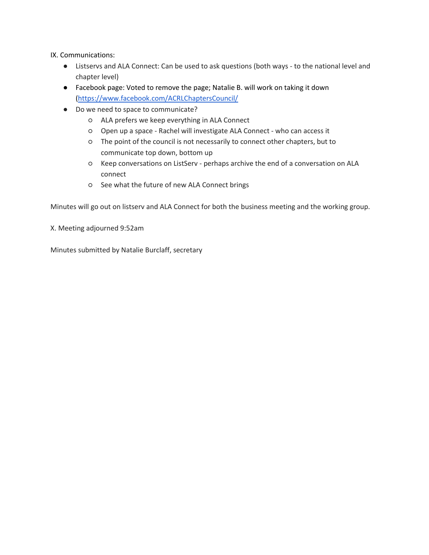IX. Communications:

- Listservs and ALA Connect: Can be used to ask questions (both ways to the national level and chapter level)
- Facebook page: Voted to remove the page; Natalie B. will work on taking it down [\(https://www.facebook.com/ACRLChaptersCouncil/](https://www.facebook.com/ACRLChaptersCouncil/)
- Do we need to space to communicate?
	- ALA prefers we keep everything in ALA Connect
	- Open up a space Rachel will investigate ALA Connect who can access it
	- The point of the council is not necessarily to connect other chapters, but to communicate top down, bottom up
	- Keep conversations on ListServ perhaps archive the end of a conversation on ALA connect
	- See what the future of new ALA Connect brings

Minutes will go out on listserv and ALA Connect for both the business meeting and the working group.

X. Meeting adjourned 9:52am

Minutes submitted by Natalie Burclaff, secretary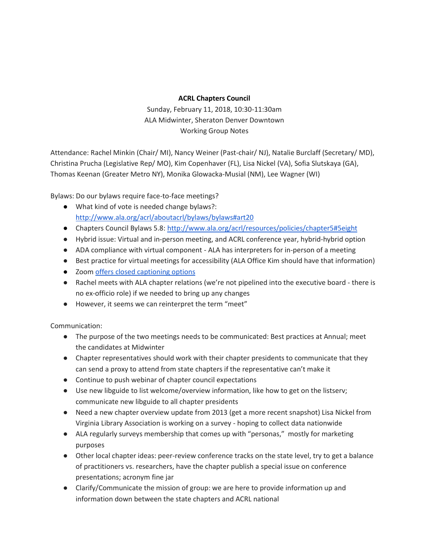## **ACRL Chapters Council**

Sunday, February 11, 2018, 10:30-11:30am ALA Midwinter, Sheraton Denver Downtown Working Group Notes

Attendance: Rachel Minkin (Chair/ MI), Nancy Weiner (Past-chair/ NJ), Natalie Burclaff (Secretary/ MD), Christina Prucha (Legislative Rep/ MO), Kim Copenhaver (FL), Lisa Nickel (VA), Sofia Slutskaya (GA), Thomas Keenan (Greater Metro NY), Monika Glowacka-Musial (NM), Lee Wagner (WI)

Bylaws: Do our bylaws require face-to-face meetings?

- What kind of vote is needed change bylaws?: <http://www.ala.org/acrl/aboutacrl/bylaws/bylaws#art20>
- Chapters Council Bylaws 5.8[: http://www.ala.org/acrl/resources/policies/chapter5#5eight](http://www.ala.org/acrl/resources/policies/chapter5#5eight)
- Hybrid issue: Virtual and in-person meeting, and ACRL conference year, hybrid-hybrid option
- ADA compliance with virtual component ALA has interpreters for in-person of a meeting
- Best practice for virtual meetings for accessibility (ALA Office Kim should have that information)
- Zoom [offers closed captioning options](https://support.zoom.us/hc/en-us/articles/207279736-Getting-Started-with-Closed-Captioning)
- Rachel meets with ALA chapter relations (we're not pipelined into the executive board there is no ex-officio role) if we needed to bring up any changes
- However, it seems we can reinterpret the term "meet"

Communication:

- The purpose of the two meetings needs to be communicated: Best practices at Annual; meet the candidates at Midwinter
- Chapter representatives should work with their chapter presidents to communicate that they can send a proxy to attend from state chapters if the representative can't make it
- Continue to push webinar of chapter council expectations
- Use new libguide to list welcome/overview information, like how to get on the listserv; communicate new libguide to all chapter presidents
- Need a new chapter overview update from 2013 (get a more recent snapshot) Lisa Nickel from Virginia Library Association is working on a survey - hoping to collect data nationwide
- ALA regularly surveys membership that comes up with "personas," mostly for marketing purposes
- Other local chapter ideas: peer-review conference tracks on the state level, try to get a balance of practitioners vs. researchers, have the chapter publish a special issue on conference presentations; acronym fine jar
- Clarify/Communicate the mission of group: we are here to provide information up and information down between the state chapters and ACRL national